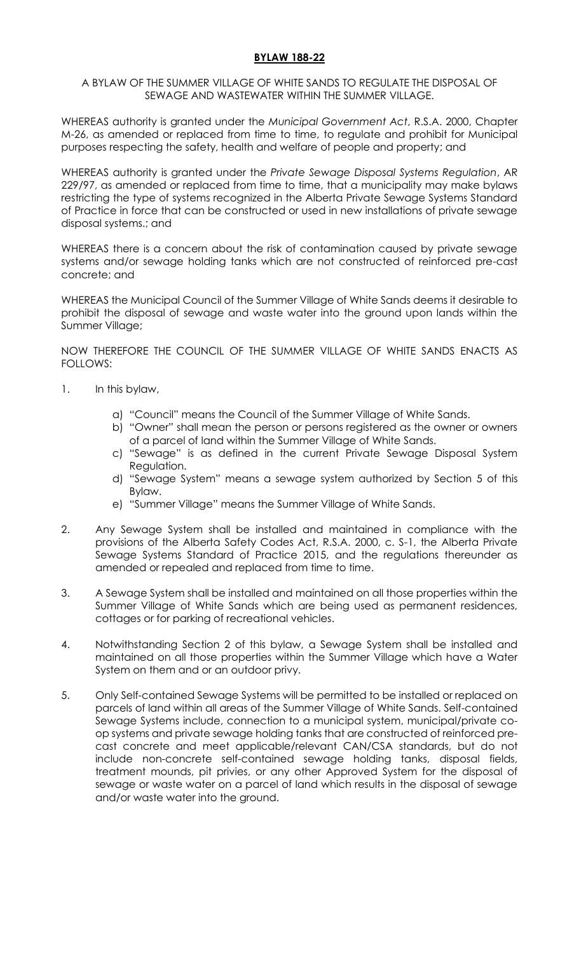## **BYLAW 188-22**

## A BYLAW OF THE SUMMER VILLAGE OF WHITE SANDS TO REGULATE THE DISPOSAL OF SEWAGE AND WASTEWATER WITHIN THE SUMMER VILLAGE.

WHEREAS authority is granted under the *Municipal Government Act*, R.S.A. 2000, Chapter M-26, as amended or replaced from time to time, to regulate and prohibit for Municipal purposes respecting the safety, health and welfare of people and property; and

WHEREAS authority is granted under the *Private Sewage Disposal Systems Regulation*, AR 229/97, as amended or replaced from time to time, that a municipality may make bylaws restricting the type of systems recognized in the Alberta Private Sewage Systems Standard of Practice in force that can be constructed or used in new installations of private sewage disposal systems.; and

WHEREAS there is a concern about the risk of contamination caused by private sewage systems and/or sewage holding tanks which are not constructed of reinforced pre-cast concrete; and

WHEREAS the Municipal Council of the Summer Village of White Sands deems it desirable to prohibit the disposal of sewage and waste water into the ground upon lands within the Summer Village;

NOW THEREFORE THE COUNCIL OF THE SUMMER VILLAGE OF WHITE SANDS ENACTS AS FOLLOWS:

- 1. In this bylaw,
	- a) "Council" means the Council of the Summer Village of White Sands.
	- b) "Owner" shall mean the person or persons registered as the owner or owners of a parcel of land within the Summer Village of White Sands.
	- c) "Sewage" is as defined in the current Private Sewage Disposal System Regulation.
	- d) "Sewage System" means a sewage system authorized by Section 5 of this Bylaw.
	- e) "Summer Village" means the Summer Village of White Sands.
- 2. Any Sewage System shall be installed and maintained in compliance with the provisions of the Alberta Safety Codes Act, R.S.A. 2000, c. S-1, the Alberta Private Sewage Systems Standard of Practice 2015, and the regulations thereunder as amended or repealed and replaced from time to time.
- 3. A Sewage System shall be installed and maintained on all those properties within the Summer Village of White Sands which are being used as permanent residences, cottages or for parking of recreational vehicles.
- 4. Notwithstanding Section 2 of this bylaw, a Sewage System shall be installed and maintained on all those properties within the Summer Village which have a Water System on them and or an outdoor privy.
- 5. Only Self-contained Sewage Systems will be permitted to be installed or replaced on parcels of land within all areas of the Summer Village of White Sands. Self-contained Sewage Systems include, connection to a municipal system, municipal/private coop systems and private sewage holding tanks that are constructed of reinforced precast concrete and meet applicable/relevant CAN/CSA standards, but do not include non-concrete self-contained sewage holding tanks, disposal fields, treatment mounds, pit privies, or any other Approved System for the disposal of sewage or waste water on a parcel of land which results in the disposal of sewage and/or waste water into the ground.